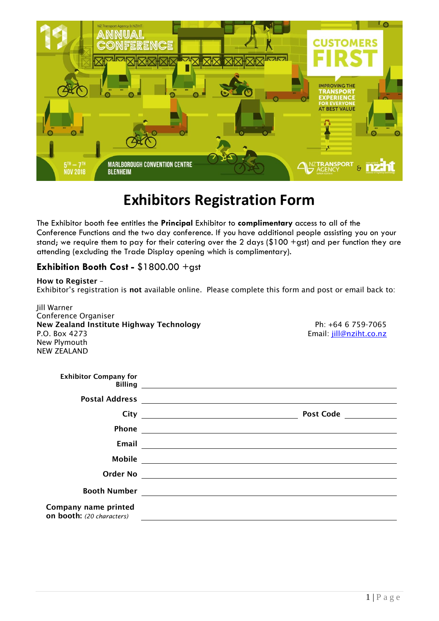

## **Exhibitors Registration Form**

The Exhibitor booth fee entitles the **Principal** Exhibitor to **complimentary** access to all of the Conference Functions and the two day conference. If you have additional people assisting you on your stand; we require them to pay for their catering over the 2 days (\$100 +gst) and per function they are attending (excluding the Trade Display opening which is complimentary).

## **Exhibition Booth Cost -** \$1800.00 +gst

**How to Register** – Exhibitor's registration is **not** available online. Please complete this form and post or email back to:

Jill Warner Conference Organiser **New Zealand Institute Highway Technology Ph: +64 6 759-7065** P.O. Box 4273 Email: [jill@nziht.co.nz](mailto:jill@nziht.co.nz) New Plymouth NEW ZEALAND

| <b>Exhibitor Company for</b>                             |                                                                                                                                                                                                                                      |
|----------------------------------------------------------|--------------------------------------------------------------------------------------------------------------------------------------------------------------------------------------------------------------------------------------|
|                                                          |                                                                                                                                                                                                                                      |
|                                                          | <b>Post Code</b>                                                                                                                                                                                                                     |
|                                                          |                                                                                                                                                                                                                                      |
| Email                                                    |                                                                                                                                                                                                                                      |
|                                                          |                                                                                                                                                                                                                                      |
|                                                          | Order No <b>with the contract of the contract of the contract of the contract of the contract of the contract of the contract of the contract of the contract of the contract of the contract of the contract of the contract of</b> |
|                                                          |                                                                                                                                                                                                                                      |
| Company name printed<br><b>on booth:</b> (20 characters) |                                                                                                                                                                                                                                      |